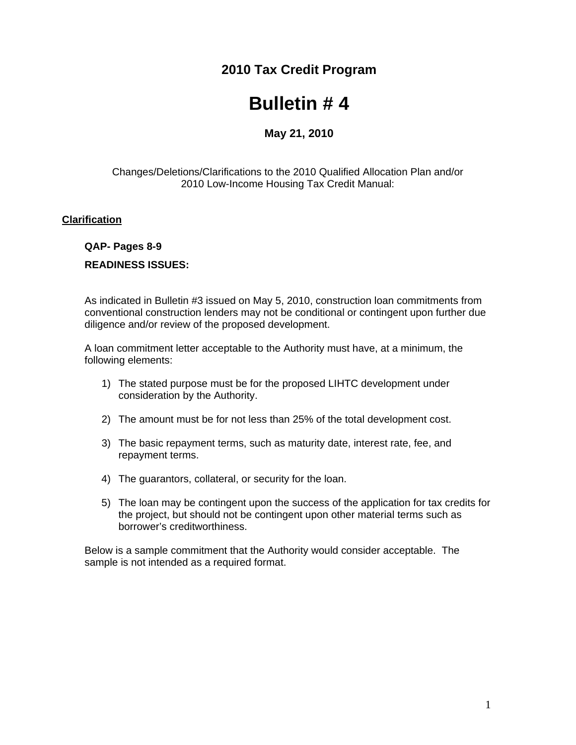## **2010 Tax Credit Program**

# **Bulletin # 4**

### **May 21, 2010**

#### Changes/Deletions/Clarifications to the 2010 Qualified Allocation Plan and/or 2010 Low-Income Housing Tax Credit Manual:

#### **Clarification**

#### **QAP- Pages 8-9**

#### **READINESS ISSUES:**

As indicated in Bulletin #3 issued on May 5, 2010, construction loan commitments from conventional construction lenders may not be conditional or contingent upon further due diligence and/or review of the proposed development.

A loan commitment letter acceptable to the Authority must have, at a minimum, the following elements:

- 1) The stated purpose must be for the proposed LIHTC development under consideration by the Authority.
- 2) The amount must be for not less than 25% of the total development cost.
- 3) The basic repayment terms, such as maturity date, interest rate, fee, and repayment terms.
- 4) The guarantors, collateral, or security for the loan.
- 5) The loan may be contingent upon the success of the application for tax credits for the project, but should not be contingent upon other material terms such as borrower's creditworthiness.

Below is a sample commitment that the Authority would consider acceptable. The sample is not intended as a required format.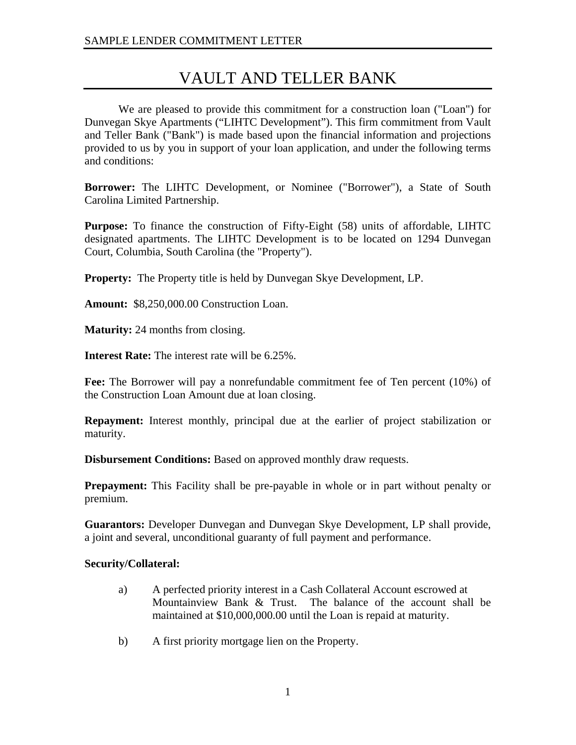## VAULT AND TELLER BANK

We are pleased to provide this commitment for a construction loan ("Loan") for Dunvegan Skye Apartments ("LIHTC Development"). This firm commitment from Vault and Teller Bank ("Bank") is made based upon the financial information and projections provided to us by you in support of your loan application, and under the following terms and conditions:

**Borrower:** The LIHTC Development, or Nominee ("Borrower"), a State of South Carolina Limited Partnership.

**Purpose:** To finance the construction of Fifty-Eight (58) units of affordable, LIHTC designated apartments. The LIHTC Development is to be located on 1294 Dunvegan Court, Columbia, South Carolina (the "Property").

**Property:** The Property title is held by Dunvegan Skye Development, LP.

**Amount:** \$8,250,000.00 Construction Loan.

**Maturity:** 24 months from closing.

**Interest Rate:** The interest rate will be 6.25%.

**Fee:** The Borrower will pay a nonrefundable commitment fee of Ten percent (10%) of the Construction Loan Amount due at loan closing.

**Repayment:** Interest monthly, principal due at the earlier of project stabilization or maturity.

**Disbursement Conditions:** Based on approved monthly draw requests.

**Prepayment:** This Facility shall be pre-payable in whole or in part without penalty or premium.

**Guarantors:** Developer Dunvegan and Dunvegan Skye Development, LP shall provide, a joint and several, unconditional guaranty of full payment and performance.

#### **Security/Collateral:**

- a) A perfected priority interest in a Cash Collateral Account escrowed at Mountainview Bank & Trust. The balance of the account shall be maintained at \$10,000,000.00 until the Loan is repaid at maturity.
- b) A first priority mortgage lien on the Property.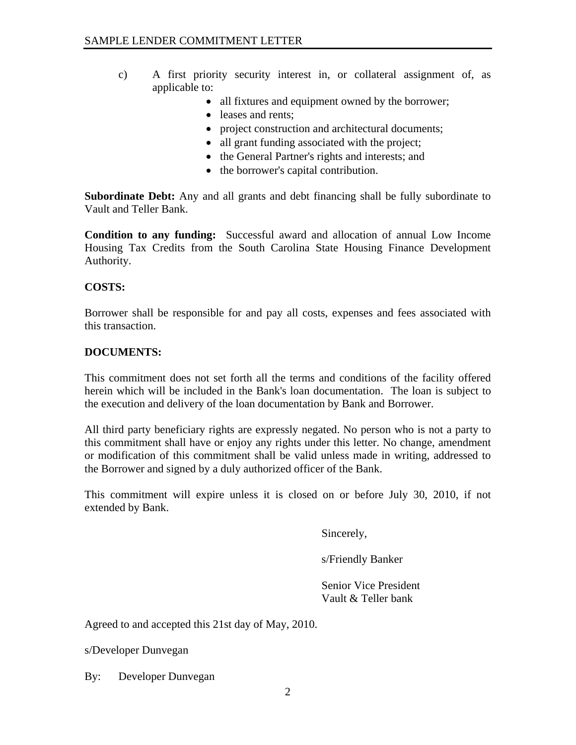- c) A first priority security interest in, or collateral assignment of, as applicable to:
	- all fixtures and equipment owned by the borrower;
	- leases and rents:
	- project construction and architectural documents;
	- all grant funding associated with the project;
	- the General Partner's rights and interests; and
	- the borrower's capital contribution.

**Subordinate Debt:** Any and all grants and debt financing shall be fully subordinate to Vault and Teller Bank.

**Condition to any funding:** Successful award and allocation of annual Low Income Housing Tax Credits from the South Carolina State Housing Finance Development Authority.

#### **COSTS:**

Borrower shall be responsible for and pay all costs, expenses and fees associated with this transaction.

#### **DOCUMENTS:**

This commitment does not set forth all the terms and conditions of the facility offered herein which will be included in the Bank's loan documentation. The loan is subject to the execution and delivery of the loan documentation by Bank and Borrower.

All third party beneficiary rights are expressly negated. No person who is not a party to this commitment shall have or enjoy any rights under this letter. No change, amendment or modification of this commitment shall be valid unless made in writing, addressed to the Borrower and signed by a duly authorized officer of the Bank.

This commitment will expire unless it is closed on or before July 30, 2010, if not extended by Bank.

Sincerely,

s/Friendly Banker

 Senior Vice President Vault & Teller bank

Agreed to and accepted this 21st day of May, 2010.

s/Developer Dunvegan

By: Developer Dunvegan